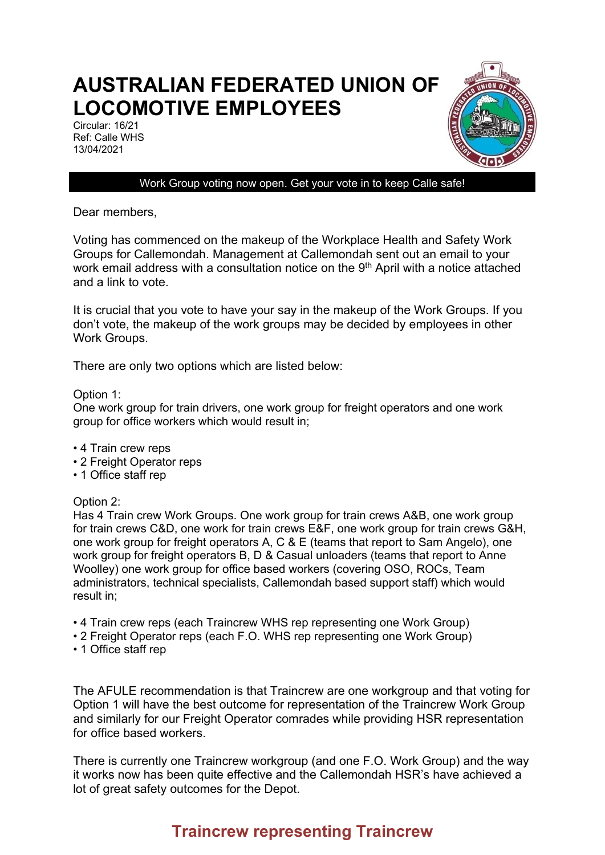## **AUSTRALIAN FEDERATED UNION OF LOCOMOTIVE EMPLOYEES**

Circular: 16/21 Ref: Calle WHS 13/04/2021



Work Group voting now open. Get your vote in to keep Calle safe!

Dear members,

Voting has commenced on the makeup of the Workplace Health and Safety Work Groups for Callemondah. Management at Callemondah sent out an email to your work email address with a consultation notice on the 9<sup>th</sup> April with a notice attached and a link to vote.

It is crucial that you vote to have your say in the makeup of the Work Groups. If you don't vote, the makeup of the work groups may be decided by employees in other Work Groups.

There are only two options which are listed below:

Option 1:

One work group for train drivers, one work group for freight operators and one work group for office workers which would result in;

- 4 Train crew reps
- 2 Freight Operator reps
- 1 Office staff rep

Option 2:

Has 4 Train crew Work Groups. One work group for train crews A&B, one work group for train crews C&D, one work for train crews E&F, one work group for train crews G&H, one work group for freight operators A, C & E (teams that report to Sam Angelo), one work group for freight operators B, D & Casual unloaders (teams that report to Anne Woolley) one work group for office based workers (covering OSO, ROCs, Team administrators, technical specialists, Callemondah based support staff) which would result in;

- 4 Train crew reps (each Traincrew WHS rep representing one Work Group)
- 2 Freight Operator reps (each F.O. WHS rep representing one Work Group)
- 1 Office staff rep

The AFULE recommendation is that Traincrew are one workgroup and that voting for Option 1 will have the best outcome for representation of the Traincrew Work Group and similarly for our Freight Operator comrades while providing HSR representation for office based workers.

There is currently one Traincrew workgroup (and one F.O. Work Group) and the way it works now has been quite effective and the Callemondah HSR's have achieved a lot of great safety outcomes for the Depot.

## **Traincrew representing Traincrew**